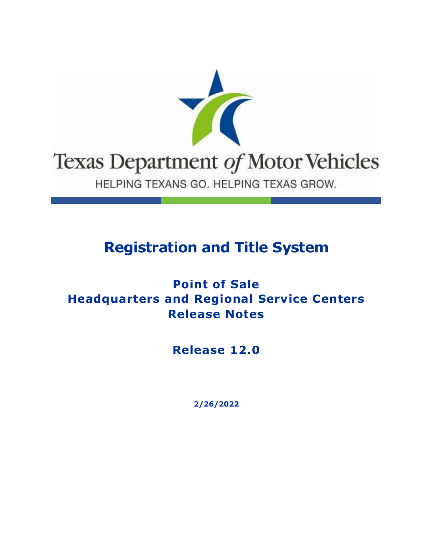

## **Registration and Title System**

### **Point of Sale Headquarters and Regional Service Centers Release Notes**

**Release 12.0**

**2/26/2022**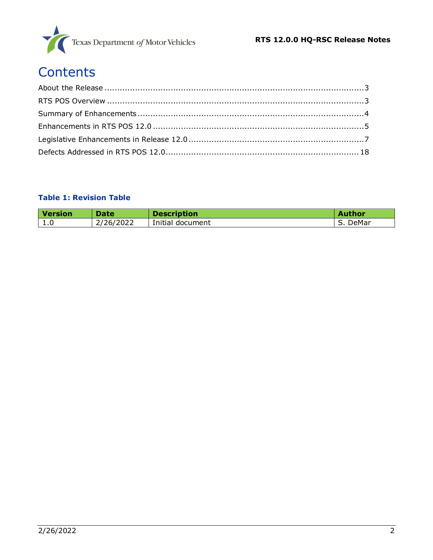

# **Contents**

#### **Table 1: Revision Table**

| Version | Date      | <b>Description</b> | <b>Author</b> |
|---------|-----------|--------------------|---------------|
| 1.0     | 2/26/2022 | Initial document   | DeMar         |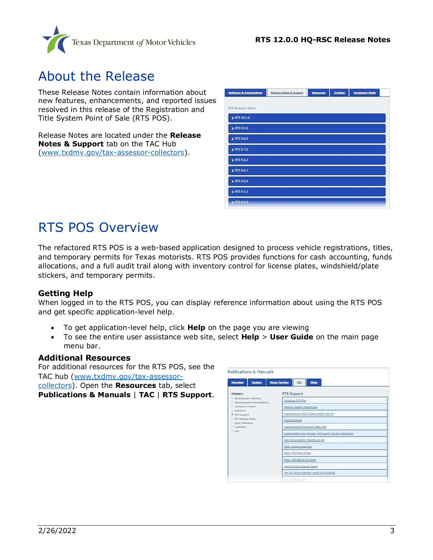

### <span id="page-2-0"></span>About the Release

These Release Notes contain information about new features, enhancements, and reported issues resolved in this release of the Registration and Title System Point of Sale (RTS POS).

Release Notes are located under the **Release Notes & Support** tab on the TAC Hub [\(www.txdmv.gov/tax-assessor-collectors\)](http://www.txdmv.gov/tax-assessor-collectors).

| <b>Webinars &amp; Presentations</b> | Release Notes & Support | Resources | <b>Training</b> | <b>Equipment Guide</b> |  |
|-------------------------------------|-------------------------|-----------|-----------------|------------------------|--|
|                                     |                         |           |                 |                        |  |
| RTS Release Notes                   |                         |           |                 |                        |  |
| > RTS 10.1.0                        |                         |           |                 |                        |  |
| > RTS 9.9.0                         |                         |           |                 |                        |  |
| > RTS 9.8.0                         |                         |           |                 |                        |  |
| > RTS 9.7.0                         |                         |           |                 |                        |  |
| ETS 9.6.2                           |                         |           |                 |                        |  |
| RTS 9.6.1                           |                         |           |                 |                        |  |
| ETS 9.6.0                           |                         |           |                 |                        |  |
| > RTS 9.5.1                         |                         |           |                 |                        |  |
| > RTS 9.5.0                         |                         |           |                 |                        |  |

## <span id="page-2-1"></span>RTS POS Overview

The refactored RTS POS is a web-based application designed to process vehicle registrations, titles, and temporary permits for Texas motorists. RTS POS provides functions for cash accounting, funds allocations, and a full audit trail along with inventory control for license plates, windshield/plate stickers, and temporary permits.

#### **Getting Help**

When logged in to the RTS POS, you can display reference information about using the RTS POS and get specific application-level help.

- To get application-level help, click **Help** on the page you are viewing
- To see the entire user assistance web site, select **Help** > **User Guide** on the main page menu bar.

#### **Additional Resources**

For additional resources for the RTS POS, see the TAC hub [\(www.txdmv.gov/tax-assessor](http://www.txdmv.gov/tax-assessor-collectors)[collectors\)](http://www.txdmv.gov/tax-assessor-collectors). Open the **Resources** tab, select **Publications & Manuals** | **TAC** | **RTS Support**.

| <b>Publications &amp; Manuals</b>                            |                                                                                                      |  |  |  |  |
|--------------------------------------------------------------|------------------------------------------------------------------------------------------------------|--|--|--|--|
| <b>Dealers</b><br><b>Motorists</b>                           | <b>Motor Carriers</b><br>TAC<br>Other                                                                |  |  |  |  |
| Category                                                     | RTS Support                                                                                          |  |  |  |  |
| D. Tax Assessor-Collectors<br>D InfoXchanges & Presentations | Accessing DTA Files                                                                                  |  |  |  |  |
| D. Foreclosure Charts                                        | Adding a Cognos Report User                                                                          |  |  |  |  |
| D. Reference<br>RTS Support                                  | Cognos Report Title & Data Content Job Aid                                                           |  |  |  |  |
| RTS Release Notes                                            | <b>Cognos Reports</b>                                                                                |  |  |  |  |
| <sup>D</sup> Duick Reference<br>D. webAGENT                  | Cognos Reports Crosswalk Table Tent                                                                  |  |  |  |  |
| $D$ 1.MS                                                     | Customizable Press Release: Delinquent Transfer Notification<br>Daily Reconciliation Reports Job Aid |  |  |  |  |
|                                                              |                                                                                                      |  |  |  |  |
|                                                              | FAQs: Cognos Reporting                                                                               |  |  |  |  |
|                                                              | FAQs: RTS Point of Sale                                                                              |  |  |  |  |
|                                                              | FAOs: RTS Search by Owner                                                                            |  |  |  |  |
|                                                              | How to Print a Cognos Report                                                                         |  |  |  |  |
|                                                              | Job Aid Coonas Reports Length of Availability                                                        |  |  |  |  |
|                                                              | Son died Privation Text                                                                              |  |  |  |  |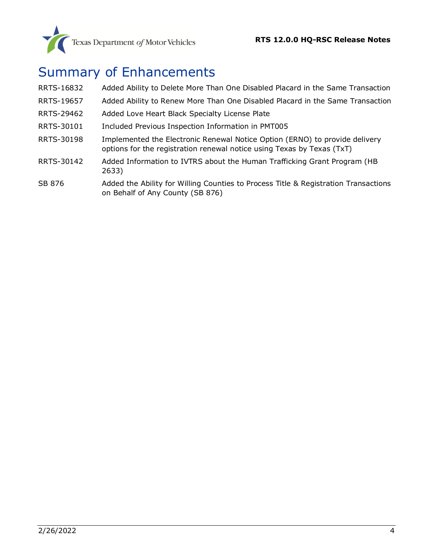## <span id="page-3-0"></span>Summary of Enhancements

| RRTS-16832 | Added Ability to Delete More Than One Disabled Placard in the Same Transaction                                                                        |
|------------|-------------------------------------------------------------------------------------------------------------------------------------------------------|
| RRTS-19657 | Added Ability to Renew More Than One Disabled Placard in the Same Transaction                                                                         |
| RRTS-29462 | Added Love Heart Black Specialty License Plate                                                                                                        |
| RRTS-30101 | Included Previous Inspection Information in PMT005                                                                                                    |
| RRTS-30198 | Implemented the Electronic Renewal Notice Option (ERNO) to provide delivery<br>options for the registration renewal notice using Texas by Texas (TxT) |
| RRTS-30142 | Added Information to IVTRS about the Human Trafficking Grant Program (HB<br>2633)                                                                     |
| SB 876     | Added the Ability for Willing Counties to Process Title & Registration Transactions                                                                   |

#### SB 876 [Added the Ability for Willing Counties to Process Title & Registration Transactions](#page-6-2)  [on Behalf of Any County \(SB 876\)](#page-6-2)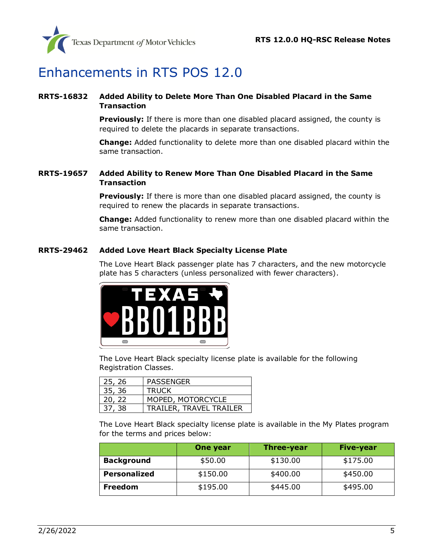

## <span id="page-4-0"></span>Enhancements in RTS POS 12.0

#### <span id="page-4-1"></span>**RRTS-16832 Added Ability to Delete More Than One Disabled Placard in the Same Transaction**

**Previously:** If there is more than one disabled placard assigned, the county is required to delete the placards in separate transactions.

**Change:** Added functionality to delete more than one disabled placard within the same transaction.

#### <span id="page-4-2"></span>**RRTS-19657 Added Ability to Renew More Than One Disabled Placard in the Same Transaction**

**Previously:** If there is more than one disabled placard assigned, the county is required to renew the placards in separate transactions.

**Change:** Added functionality to renew more than one disabled placard within the same transaction.

#### <span id="page-4-3"></span>**RRTS-29462 Added Love Heart Black Specialty License Plate**

The Love Heart Black passenger plate has 7 characters, and the new motorcycle plate has 5 characters (unless personalized with fewer characters).



The Love Heart Black specialty license plate is available for the following Registration Classes.

| 25, 26 | <b>PASSENGER</b>        |
|--------|-------------------------|
| 35, 36 | <b>TRUCK</b>            |
| 20, 22 | MOPED, MOTORCYCLE       |
| 37, 38 | TRAILER, TRAVEL TRAILER |

The Love Heart Black specialty license plate is available in the My Plates program for the terms and prices below:

|                     | One year | Five-year |          |
|---------------------|----------|-----------|----------|
| <b>Background</b>   | \$50.00  | \$130.00  | \$175.00 |
| <b>Personalized</b> | \$150.00 | \$400.00  | \$450.00 |
| <b>Freedom</b>      | \$195.00 | \$445.00  | \$495.00 |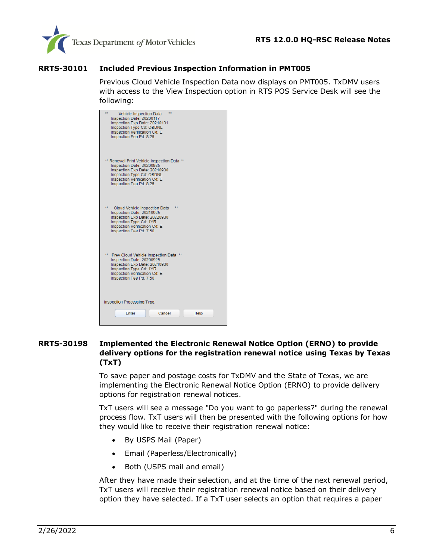

#### <span id="page-5-0"></span>**RRTS-30101 Included Previous Inspection Information in PMT005**

Previous Cloud Vehicle Inspection Data now displays on PMT005. TxDMV users with access to the View Inspection option in RTS POS Service Desk will see the following:

| **<br>÷÷<br>Vehicle Inspection Data<br>Inspection Date: 20200117<br>Inspection Exp Date: 20210131<br>Inspection Type Cd: OBDNL<br>Inspection Verification Cd: E<br>Inspection Fee Pd: 8.25                |
|-----------------------------------------------------------------------------------------------------------------------------------------------------------------------------------------------------------|
| ** Renewal Print Vehicle Inspection Data **<br>Inspection Date: 20200925<br>Inspection Exp Date: 20210930<br>Inspection Type Cd: OBDNL<br><b>Inspection Verification Cd: E</b><br>Inspection Fee Pd: 8.25 |
| **<br>Cloud Vehicle Inspection Data<br>Inspection Date: 20210925<br>Inspection Exp Date: 20220930<br>Inspection Type Cd: 1YR<br><b>Inspection Verification Cd: E</b><br>Inspection Fee Pd: 7.50           |
| ** Prev Cloud Vehicle Inspection Data **<br>Inspection Date: 20200925<br>Inspection Exp Date: 20210930<br>Inspection Type Cd: 1YR<br><b>Inspection Verification Cd: E</b><br>Inspection Fee Pd: 7.50      |
| <b>Inspection Processing Type:</b><br><b>Enter</b><br>Cancel<br>Help                                                                                                                                      |

#### <span id="page-5-1"></span>**RRTS-30198 Implemented the Electronic Renewal Notice Option (ERNO) to provide delivery options for the registration renewal notice using Texas by Texas (TxT)**

To save paper and postage costs for TxDMV and the State of Texas, we are implementing the Electronic Renewal Notice Option (ERNO) to provide delivery options for registration renewal notices.

TxT users will see a message "Do you want to go paperless?" during the renewal process flow. TxT users will then be presented with the following options for how they would like to receive their registration renewal notice:

- By USPS Mail (Paper)
- Email (Paperless/Electronically)
- Both (USPS mail and email)

After they have made their selection, and at the time of the next renewal period, TxT users will receive their registration renewal notice based on their delivery option they have selected. If a TxT user selects an option that requires a paper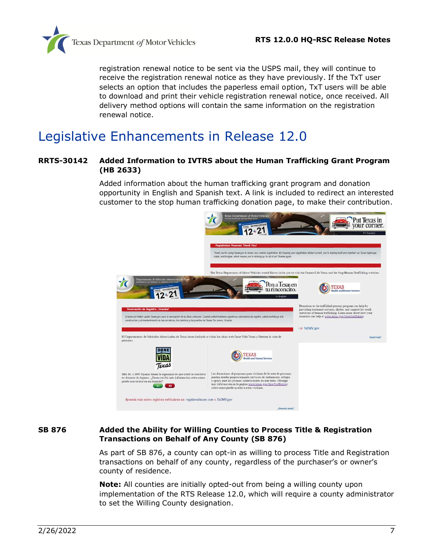

registration renewal notice to be sent via the USPS mail, they will continue to receive the registration renewal notice as they have previously. If the TxT user selects an option that includes the paperless email option, TxT users will be able to download and print their vehicle registration renewal notice, once received. All delivery method options will contain the same information on the registration renewal notice.

## <span id="page-6-0"></span>Legislative Enhancements in Release 12.0

#### <span id="page-6-1"></span>**RRTS-30142 Added Information to IVTRS about the Human Trafficking Grant Program (HB 2633)**

Added information about the human trafficking grant program and donation opportunity in English and Spanish text. A link is included to redirect an interested customer to the stop human trafficking donation page, to make their contribution.



#### <span id="page-6-2"></span>**SB 876 Added the Ability for Willing Counties to Process Title & Registration Transactions on Behalf of Any County (SB 876)**

As part of SB 876, a county can opt-in as willing to process Title and Registration transactions on behalf of any county, regardless of the purchaser's or owner's county of residence.

**Note:** All counties are initially opted-out from being a willing county upon implementation of the RTS Release 12.0, which will require a county administrator to set the Willing County designation.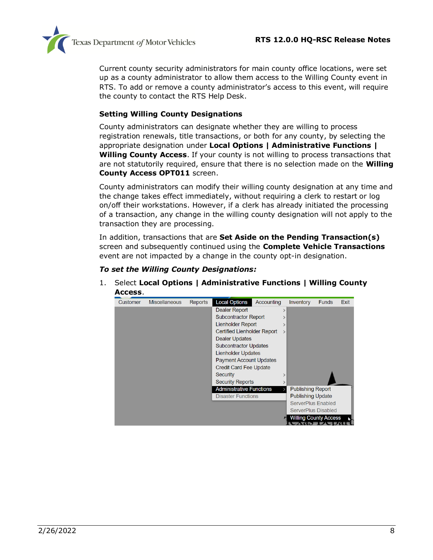

Current county security administrators for main county office locations, were set up as a county administrator to allow them access to the Willing County event in RTS. To add or remove a county administrator's access to this event, will require the county to contact the RTS Help Desk.

#### **Setting Willing County Designations**

County administrators can designate whether they are willing to process registration renewals, title transactions, or both for any county, by selecting the appropriate designation under **Local Options | Administrative Functions | Willing County Access**. If your county is not willing to process transactions that are not statutorily required, ensure that there is no selection made on the **Willing County Access OPT011** screen.

County administrators can modify their willing county designation at any time and the change takes effect immediately, without requiring a clerk to restart or log on/off their workstations. However, if a clerk has already initiated the processing of a transaction, any change in the willing county designation will not apply to the transaction they are processing.

In addition, transactions that are **Set Aside on the Pending Transaction(s)** screen and subsequently continued using the **Complete Vehicle Transactions** event are not impacted by a change in the county opt-in designation.

#### *To set the Willing County Designations:*

1. Select **Local Options | Administrative Functions | Willing County Access**.

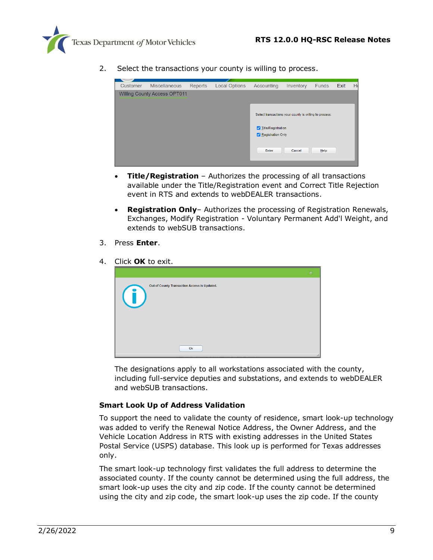

2. Select the transactions your county is willing to process.



- **Title/Registration** Authorizes the processing of all transactions available under the Title/Registration event and Correct Title Rejection event in RTS and extends to webDEALER transactions.
- **Registration Only** Authorizes the processing of Registration Renewals, Exchanges, Modify Registration - Voluntary Permanent Add'l Weight, and extends to webSUB transactions.
- 3. Press **Enter**.
- 4. Click **OK** to exit.

|                                                             | $\Box$ |
|-------------------------------------------------------------|--------|
| Out of County Transaction Access is Updated.<br>$\mathbf U$ |        |
| Ok                                                          |        |

The designations apply to all workstations associated with the county, including full-service deputies and substations, and extends to webDEALER and webSUB transactions.

#### **Smart Look Up of Address Validation**

To support the need to validate the county of residence, smart look-up technology was added to verify the Renewal Notice Address, the Owner Address, and the Vehicle Location Address in RTS with existing addresses in the United States Postal Service (USPS) database. This look up is performed for Texas addresses only.

The smart look-up technology first validates the full address to determine the associated county. If the county cannot be determined using the full address, the smart look-up uses the city and zip code. If the county cannot be determined using the city and zip code, the smart look-up uses the zip code. If the county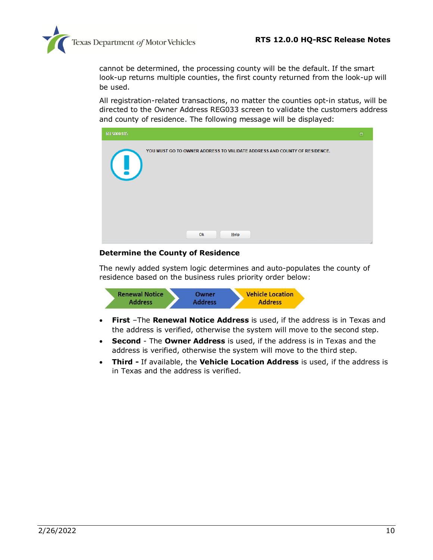

cannot be determined, the processing county will be the default. If the smart look-up returns multiple counties, the first county returned from the look-up will be used.

All registration-related transactions, no matter the counties opt-in status, will be directed to the Owner Address REG033 screen to validate the customers address and county of residence. The following message will be displayed:



#### **Determine the County of Residence**

The newly added system logic determines and auto-populates the county of residence based on the business rules priority order below:



- **First** –The **Renewal Notice Address** is used, if the address is in Texas and the address is verified, otherwise the system will move to the second step.
- **Second** The **Owner Address** is used, if the address is in Texas and the address is verified, otherwise the system will move to the third step.
- **Third -** If available, the **Vehicle Location Address** is used, if the address is in Texas and the address is verified.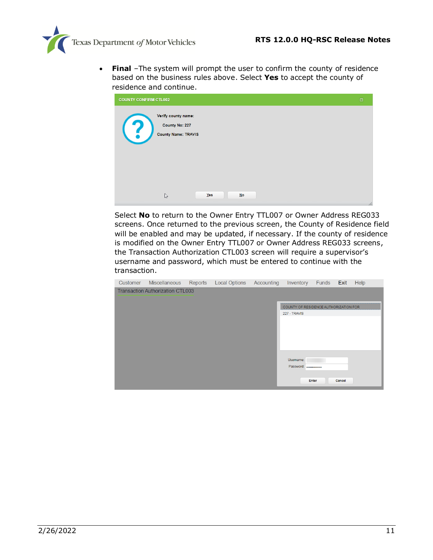

• **Final** –The system will prompt the user to confirm the county of residence based on the business rules above. Select **Yes** to accept the county of residence and continue.

| <b>COUNTY CONFIRM CTL002</b> |                                                                     |     |      |  | $\Box$ |
|------------------------------|---------------------------------------------------------------------|-----|------|--|--------|
| $\left( 2\right)$            | Verify county name:<br>County No: 227<br><b>County Name: TRAVIS</b> |     |      |  |        |
|                              | $\mathbb{P}$                                                        | Yes | $No$ |  | h,     |

Select **No** to return to the Owner Entry TTL007 or Owner Address REG033 screens. Once returned to the previous screen, the County of Residence field will be enabled and may be updated, if necessary. If the county of residence is modified on the Owner Entry TTL007 or Owner Address REG033 screens, the Transaction Authorization CTL003 screen will require a supervisor's username and password, which must be entered to continue with the transaction.

| Customer | Miscellaneous                           | Reports | <b>Local Options</b> | Accounting | Inventory                             | Funds | Exit   | Help |
|----------|-----------------------------------------|---------|----------------------|------------|---------------------------------------|-------|--------|------|
|          | <b>Transaction Authorization CTL003</b> |         |                      |            |                                       |       |        |      |
|          |                                         |         |                      |            |                                       |       |        |      |
|          |                                         |         |                      |            | COUNTY OF RESIDENCE AUTHORIZATION FOR |       |        |      |
|          |                                         |         |                      |            | 227 - TRAVIS                          |       |        |      |
|          |                                         |         |                      |            |                                       |       |        |      |
|          |                                         |         |                      |            |                                       |       |        |      |
|          |                                         |         |                      |            |                                       |       |        |      |
|          |                                         |         |                      |            |                                       |       |        |      |
|          |                                         |         |                      |            |                                       |       |        |      |
|          |                                         |         |                      |            | Username:                             |       |        |      |
|          |                                         |         |                      |            | Password:                             |       |        |      |
|          |                                         |         |                      |            |                                       |       |        |      |
|          |                                         |         |                      |            |                                       | Enter | Cancel |      |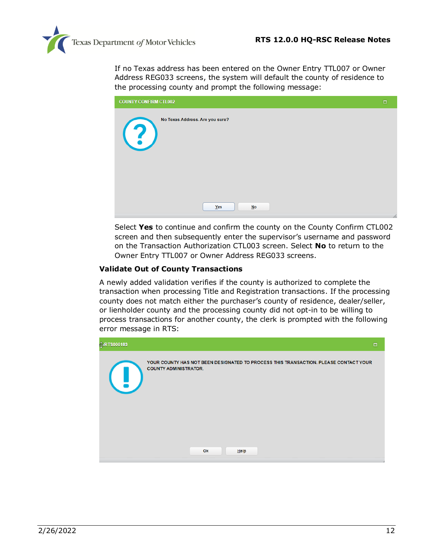

If no Texas address has been entered on the Owner Entry TTL007 or Owner Address REG033 screens, the system will default the county of residence to the processing county and prompt the following message:

| <b>COUNTY CONFIRM CTL002</b>                         | $\Box$ |
|------------------------------------------------------|--------|
| No Texas Address. Are you sure?<br>$\left( 3\right)$ |        |
| Yes<br>$No$                                          | 11     |

Select **Yes** to continue and confirm the county on the County Confirm CTL002 screen and then subsequently enter the supervisor's username and password on the Transaction Authorization CTL003 screen. Select **No** to return to the Owner Entry TTL007 or Owner Address REG033 screens.

#### **Validate Out of County Transactions**

A newly added validation verifies if the county is authorized to complete the transaction when processing Title and Registration transactions. If the processing county does not match either the purchaser's county of residence, dealer/seller, or lienholder county and the processing county did not opt-in to be willing to process transactions for another county, the clerk is prompted with the following error message in RTS:

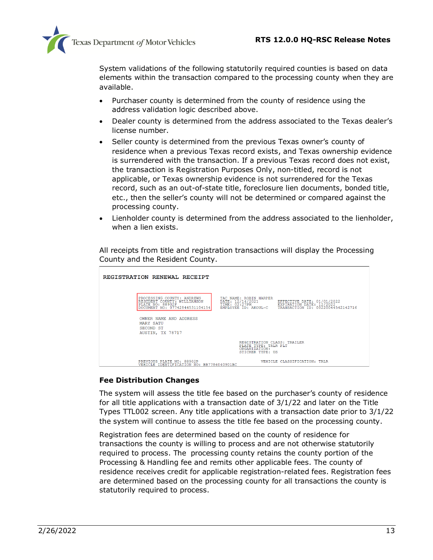

System validations of the following statutorily required counties is based on data elements within the transaction compared to the processing county when they are available.

- Purchaser county is determined from the county of residence using the address validation logic described above.
- Dealer county is determined from the address associated to the Texas dealer's license number.
- Seller county is determined from the previous Texas owner's county of residence when a previous Texas record exists, and Texas ownership evidence is surrendered with the transaction. If a previous Texas record does not exist, the transaction is Registration Purposes Only, non-titled, record is not applicable, or Texas ownership evidence is not surrendered for the Texas record, such as an out-of-state title, foreclosure lien documents, bonded title, etc., then the seller's county will not be determined or compared against the processing county.
- Lienholder county is determined from the address associated to the lienholder, when a lien exists.

All receipts from title and registration transactions will display the Processing County and the Resident County.

| REGISTRATION RENEWAL RECEIPT                                                                                    |                                                                                          |                                                                                             |
|-----------------------------------------------------------------------------------------------------------------|------------------------------------------------------------------------------------------|---------------------------------------------------------------------------------------------|
| PROCESSING COUNTY: ANDREWS<br>RESIDENT COUNTY: WILLIAMSON<br>PLATE NO: 88902P<br>DOCUMENT NO: 07742844531104154 | TAC NAME: ROBIN HARPER<br>DATE: 12/14/2021<br>TIME: 02:27PM<br>EMPLOYEE ID: AKOUL-C      | EFFECTIVE DATE: 01/01/2022<br>EXPIRATION DATE: 12/2022<br>TRANSACTION ID: 00220044542142716 |
| OWNER NAME AND ADDRESS<br><b>MARY SATU</b><br>SECOND ST<br>AUSTIN, TX 78717                                     |                                                                                          |                                                                                             |
|                                                                                                                 | REGISTRATION CLASS: TRAILER<br>PLATE TYPE: TRLR PLT<br>ORGANIZATION:<br>STICKER TYPE: US |                                                                                             |
| PREVIOUS PLATE NO: 88902P<br>VEHICLE IDENTIFICATION NO: BB7784040901BC                                          |                                                                                          | VEHICLE CLASSIFICATION: TRLR                                                                |

#### **Fee Distribution Changes**

The system will assess the title fee based on the purchaser's county of residence for all title applications with a transaction date of 3/1/22 and later on the Title Types TTL002 screen. Any title applications with a transaction date prior to 3/1/22 the system will continue to assess the title fee based on the processing county.

Registration fees are determined based on the county of residence for transactions the county is willing to process and are not otherwise statutorily required to process. The processing county retains the county portion of the Processing & Handling fee and remits other applicable fees. The county of residence receives credit for applicable registration-related fees. Registration fees are determined based on the processing county for all transactions the county is statutorily required to process.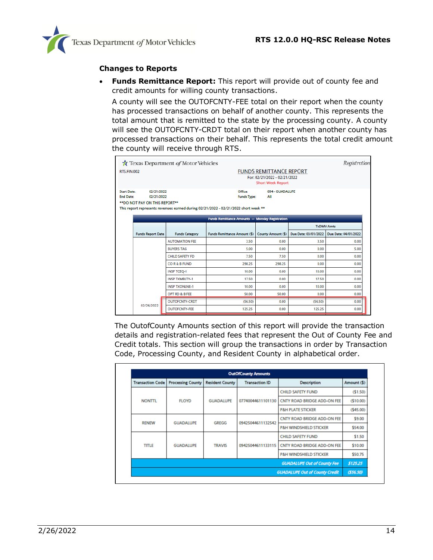

#### **Changes to Reports**

• **Funds Remittance Report:** This report will provide out of county fee and credit amounts for willing county transactions.

A county will see the OUTOFCNTY-FEE total on their report when the county has processed transactions on behalf of another county. This represents the total amount that is remitted to the state by the processing county. A county will see the OUTOFCNTY-CRDT total on their report when another county has processed transactions on their behalf. This represents the total credit amount the county will receive through RTS.

|                                                                                                      | Texas Department of Motor Vehicles |                                                                                                                      |                                                                                            |                      | Registration         |
|------------------------------------------------------------------------------------------------------|------------------------------------|----------------------------------------------------------------------------------------------------------------------|--------------------------------------------------------------------------------------------|----------------------|----------------------|
| <b>RTS.FIN.002</b>                                                                                   |                                    |                                                                                                                      | <b>FUNDS REMITTANCE REPORT</b><br>For: 02/21/2022 - 02/21/2022<br><b>Short Week Report</b> |                      |                      |
| 02/21/2022<br><b>Start Date:</b><br><b>End Date:</b><br>02/21/2022<br>** DO NOT PAY ON THIS REPORT** |                                    | Office:<br><b>Funds Type:</b><br>This report represents revenues earned during 02/21/2022 - 02/21/2022 short week ** | 094 - GUADALUPE<br>All                                                                     |                      |                      |
|                                                                                                      |                                    | Funds Remittance Amounts - Monday Registration                                                                       |                                                                                            |                      | <b>TxDMV Amts</b>    |
| <b>Funds Report Date</b>                                                                             | <b>Funds Category</b>              | Funds Remittance Amount (\$)                                                                                         | County Amount (\$)                                                                         | Due Date: 03/01/2022 | Due Date: 04/01/2022 |
|                                                                                                      | <b>AUTOMATION FEE</b>              | 3.50                                                                                                                 | 0.00                                                                                       | 3.50                 | 0.00                 |
|                                                                                                      | <b>BUYERS TAG</b>                  | 5.00                                                                                                                 | 0.00                                                                                       | 0.00                 | 5.00                 |
|                                                                                                      | <b>CHILD SAFETY FD</b>             | 750                                                                                                                  | 7.50                                                                                       | 0.00                 | 0.00                 |
|                                                                                                      | COR&B FUND                         | 298.25                                                                                                               | 298.25                                                                                     | 0.00                 | 0.00                 |
|                                                                                                      | <b>INSP TCEQ-1</b>                 | 10.00                                                                                                                | 0.00                                                                                       | 10.00                | 0.00                 |
|                                                                                                      | <b>INSP TXMBLTY-1</b>              | 17.50                                                                                                                | 0.00                                                                                       | 17.50                | 0.00                 |
|                                                                                                      | <b>INSP TXONLNE-1</b>              | 10.00                                                                                                                | 0.00                                                                                       | 10.00                | 0.00                 |
|                                                                                                      | OPT RD & B FEE                     | 50.00                                                                                                                | 50.00                                                                                      | 0.00                 | 0.00                 |
| 02/26/2022                                                                                           | <b>OUTOFCNTY-CRDT</b>              | (56.50)                                                                                                              | 0.00                                                                                       | (56.50)              | 0.00                 |
|                                                                                                      | <b>OUTOFCNTY-FEE</b>               | 125.25                                                                                                               | 0.00                                                                                       | 125.25               | 0.00                 |

The OutofCounty Amounts section of this report will provide the transaction details and registration-related fees that represent the Out of County Fee and Credit totals. This section will group the transactions in order by Transaction Code, Processing County, and Resident County in alphabetical order.

|                         | <b>OutOfCounty Amounts</b> |                        |                       |                                       |             |  |  |  |
|-------------------------|----------------------------|------------------------|-----------------------|---------------------------------------|-------------|--|--|--|
| <b>Transaction Code</b> | <b>Processing County</b>   | <b>Resident County</b> | <b>Transaction ID</b> | <b>Description</b>                    | Amount (\$) |  |  |  |
|                         |                            |                        |                       | <b>CHILD SAFETY FUND</b>              | (51.50)     |  |  |  |
| <b>NONTTL</b>           | <b>FLOYD</b>               | <b>GUADALUPE</b>       | 07740044611101130     | CNTY ROAD BRIDGE ADD-ON FEE           | (510.00)    |  |  |  |
|                         |                            |                        |                       | <b>P&amp;H PLATE STICKER</b>          | (545.00)    |  |  |  |
| <b>RENEW</b>            | <b>GUADALUPE</b>           | <b>GREGG</b>           | 09425044611132542     | CNTY ROAD BRIDGE ADD-ON FEE           | \$9.00      |  |  |  |
|                         |                            |                        |                       | <b>P&amp;H WINDSHIELD STICKER</b>     | \$54.00     |  |  |  |
|                         |                            |                        |                       | <b>CHILD SAFETY FUND</b>              | \$1.50      |  |  |  |
| <b>TITLE</b>            | <b>GUADALUPE</b>           | <b>TRAVIS</b>          | 09425044611133115     | CNTY ROAD BRIDGE ADD-ON FEE           | \$10.00     |  |  |  |
|                         |                            |                        |                       | <b>P&amp;H WINDSHIELD STICKER</b>     | \$50.75     |  |  |  |
|                         |                            |                        |                       | <b>GUADALUPE Out of County Fee</b>    | \$125.25    |  |  |  |
|                         |                            |                        |                       | <b>GUADALUPE Out of County Credit</b> | (556.50)    |  |  |  |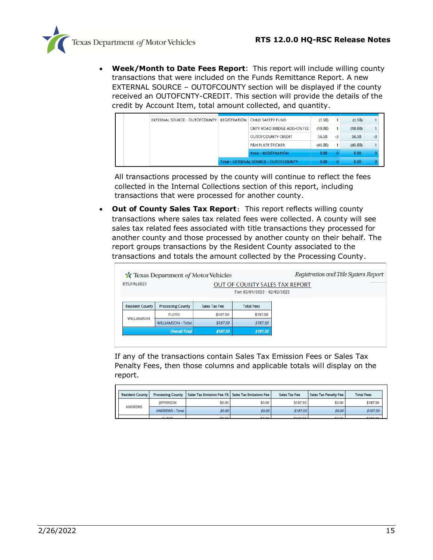

• **Week/Month to Date Fees Report**: This report will include willing county transactions that were included on the Funds Remittance Report. A new EXTERNAL SOURCE – OUTOFCOUNTY section will be displayed if the county received an OUTOFCNTY-CREDIT. This section will provide the details of the credit by Account Item, total amount collected, and quantity.

| <b>EXTERNAL SOURCE - OUTOFCOUNTY</b> |                                              | <b>REGISTRATION CHILD SAFETY FUND</b> | (1.50)  |      | (1.50)  |      |
|--------------------------------------|----------------------------------------------|---------------------------------------|---------|------|---------|------|
|                                      |                                              | CNTY ROAD BRIDGE ADD-ON FEE           | (10.00) |      | (10.00) |      |
|                                      |                                              | <b>OUTOFCOUNTY CREDIT</b>             | 56.50   | $-3$ | 56.50   | $-3$ |
|                                      |                                              | <b>P&amp;H PLATE STICKER</b>          | (45.00) |      | (45.00) |      |
|                                      |                                              | <b>Total - REGISTRATION</b>           | 0.00    |      | 0.00    |      |
|                                      | <b>Total - EXTERNAL SOURCE - OUTOFCOUNTY</b> | 0.00                                  |         | 0.00 |         |      |

All transactions processed by the county will continue to reflect the fees collected in the Internal Collections section of this report, including transactions that were processed for another county.

• **Out of County Sales Tax Report**: This report reflects willing county transactions where sales tax related fees were collected. A county will see sales tax related fees associated with title transactions they processed for another county and those processed by another county on their behalf. The report groups transactions by the Resident County associated to the transactions and totals the amount collected by the Processing County.

|                        | <b>T</b> Texas Department of Motor Vehicles | Registration and Title System Report |                              |                                |
|------------------------|---------------------------------------------|--------------------------------------|------------------------------|--------------------------------|
| <b>RTS.FIN.0023</b>    |                                             |                                      |                              | OUT OF COUNTY SALES TAX REPORT |
|                        |                                             |                                      | For: 02/01/2022 - 02/02/2022 |                                |
| <b>Resident County</b> | <b>Processing County</b>                    | Sales Tax Fee                        | <b>Total Fees</b>            |                                |
| <b>WILLIAMSON</b>      | <b>FLOYD</b>                                | \$187.50                             | \$187.50                     |                                |
|                        | <b>WILLIAMSON - Total</b>                   | \$187.50                             | \$187.50                     |                                |
| <b>Overall Total</b>   |                                             | \$187.50                             | \$187.50                     |                                |
|                        |                                             |                                      |                              |                                |

If any of the transactions contain Sales Tax Emission Fees or Sales Tax Penalty Fees, then those columns and applicable totals will display on the report.

| <b>Resident County</b> |                        | <b>Processing County   Sales Tax Emission Fee 1%   Sales Tax Emissions Fee  </b> |        | Sales Tax Fee  | Sales Tax Penalty Fee | <b>Total Fees</b> |
|------------------------|------------------------|----------------------------------------------------------------------------------|--------|----------------|-----------------------|-------------------|
|                        | <b>IEFFERSON</b>       | \$0.00                                                                           | \$0.00 | \$187.50       | \$0.00                | \$187.50          |
| <b>ANDREWS</b>         | <b>ANDREWS - Total</b> | \$0.00                                                                           | \$0.00 | \$187.50       | \$0.00                | \$187.50          |
|                        | <b>CLOVID</b>          | <b>COLOR</b>                                                                     | 5000   | <b>CANT ON</b> | <b>COLOR</b>          | <b>CARLOS</b>     |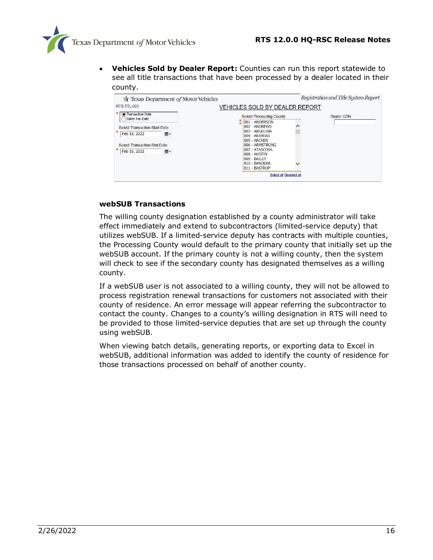

• **Vehicles Sold by Dealer Report:** Counties can run this report statewide to see all title transactions that have been processed by a dealer located in their county.

| Texas Department of Motor Vehicles                                                                        |                                                                                                                                                                                           | Registration and Title System Report |
|-----------------------------------------------------------------------------------------------------------|-------------------------------------------------------------------------------------------------------------------------------------------------------------------------------------------|--------------------------------------|
| RTS.TTL.003                                                                                               | VEHICLES SOLD BY DEALER REPORT                                                                                                                                                            |                                      |
| Transaction Date<br>Sales Tax Date                                                                        | Select Processing County                                                                                                                                                                  | Dealer GDN                           |
| Select Transaction Start Date<br>Feb 18, 2022<br>面-<br>Select Transaction End Date<br>Feb 18, 2022<br>■ · | 001 - ANDERSON<br>002 - ANDREWS<br>003 - ANGELINA<br>004 - ARANSAS<br>005 - ARCHER<br>006 - ARMSTRONG<br>007 - ATASCOSA<br>008 - AUSTIN<br>009 - BAILEY<br>010 - BANDERA<br>011 - BASTROP |                                      |
|                                                                                                           | Select all Deselect all                                                                                                                                                                   |                                      |

#### **webSUB Transactions**

The willing county designation established by a county administrator will take effect immediately and extend to subcontractors (limited-service deputy) that utilizes webSUB. If a limited-service deputy has contracts with multiple counties, the Processing County would default to the primary county that initially set up the webSUB account. If the primary county is not a willing county, then the system will check to see if the secondary county has designated themselves as a willing county.

If a webSUB user is not associated to a willing county, they will not be allowed to process registration renewal transactions for customers not associated with their county of residence. An error message will appear referring the subcontractor to contact the county. Changes to a county's willing designation in RTS will need to be provided to those limited-service deputies that are set up through the county using webSUB.

When viewing batch details, generating reports, or exporting data to Excel in webSUB, additional information was added to identify the county of residence for those transactions processed on behalf of another county.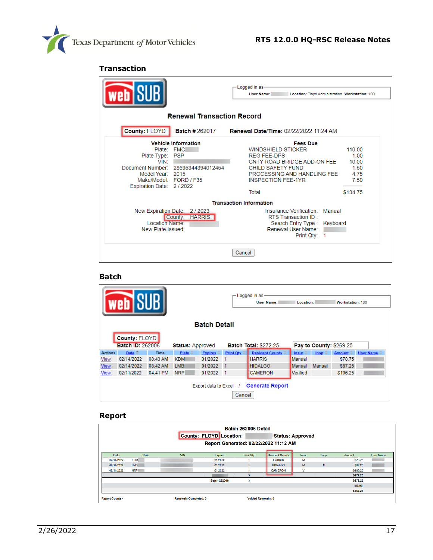

#### **Transaction**

| <b>web</b> i                                                                                                 |                                                                                | -Logged in as<br><b>User Name:</b><br>Location: Floyd Administration Workstation: 100                                                                                                       |                                                             |
|--------------------------------------------------------------------------------------------------------------|--------------------------------------------------------------------------------|---------------------------------------------------------------------------------------------------------------------------------------------------------------------------------------------|-------------------------------------------------------------|
|                                                                                                              | <b>Renewal Transaction Record</b>                                              |                                                                                                                                                                                             |                                                             |
| County: FLOYD                                                                                                |                                                                                | Batch #262017 Renewal Date/Time: 02/22/2022 11:24 AM                                                                                                                                        |                                                             |
| Plate: FMC<br>Plate Type:<br>VIN:<br>Model Year: 2015<br>Make/Model: FORD / F35<br>Expiration Date: 2 / 2022 | <b>Vehicle Information</b><br><b>PSP</b><br>Document Number: 28695344394012454 | <b>Fees Due</b><br><b>WINDSHIELD STICKER</b><br><b>REG FEE-DPS</b><br>CNTY ROAD BRIDGE ADD-ON FEE<br>CHILD SAFETY FUND<br>PROCESSING AND HANDLING FEE<br><b>INSPECTION FEE-1YR</b><br>Total | 110.00<br>1.00<br>10.00<br>1.50<br>4.75<br>7.50<br>\$134.75 |
|                                                                                                              |                                                                                | <b>Transaction Information</b>                                                                                                                                                              |                                                             |
| Location Name:<br>New Plate Issued:                                                                          | New Expiration Date: 2/2023<br><b>HARRIS</b><br>County:                        | Insurance Verification: Manual<br>RTS Transaction ID:<br>Search Entry Type: Keyboard<br>Renewal User Name:<br>Print Qtv: 1                                                                  |                                                             |
|                                                                                                              |                                                                                | Cancel                                                                                                                                                                                      |                                                             |

#### **Batch**

| — Logged in as-<br><b>Web</b> SU<br>Workstation: 100<br><b>User Name:</b><br>Location: |                                                                 |             |                         |                             |                                                         |                 |                 |                        |                          |                       |
|----------------------------------------------------------------------------------------|-----------------------------------------------------------------|-------------|-------------------------|-----------------------------|---------------------------------------------------------|-----------------|-----------------|------------------------|--------------------------|-----------------------|
|                                                                                        | <b>Batch Detail</b>                                             |             |                         |                             |                                                         |                 |                 |                        |                          |                       |
|                                                                                        | County: FLOYD                                                   |             |                         |                             |                                                         |                 |                 |                        |                          |                       |
|                                                                                        | <b>Batch ID: 262006</b>                                         |             | <b>Status: Approved</b> |                             | Pay to County: \$269.25<br><b>Batch Total: \$272.25</b> |                 |                 |                        |                          |                       |
| <b>Actions</b>                                                                         | Date $\triangleq$                                               | <b>Time</b> | Plate $\oplus$          | $Expires$ $\Leftrightarrow$ | Print Qty $\Leftrightarrow$                             | Resident County | Insur $\hat{=}$ | $\mathsf{Insp} \oplus$ | Amount $\Leftrightarrow$ | User Name $\doteqdot$ |
| <b>View</b>                                                                            | 02/14/2022                                                      | 08:43 AM    | <b>KDM</b>              | 01/2022                     |                                                         | <b>HARRIS</b>   | Manual          |                        | \$78.75                  |                       |
| <b>View</b>                                                                            | 02/14/2022                                                      | 08:42 AM    | LMB <sup></sup>         | 01/2022                     | $\mathbf{1}$                                            | <b>HIDALGO</b>  | Manual          | <b>Manual</b>          | \$87.25                  |                       |
| <b>View</b>                                                                            | 02/11/2022                                                      | 04:41 PM    | <b>NRP</b>              | 01/2022                     | -1                                                      | <b>CAMERON</b>  | Verified        |                        | \$106.25                 |                       |
|                                                                                        | <b>Generate Report</b><br><b>Export data to Excel</b><br>Cancel |             |                         |                             |                                                         |                 |                 |                        |                          |                       |

#### **Report**

| Batch 262006 Detail<br>County: FLOYD Location:<br><b>Status: Approved</b><br>Report Generated: 02/22/2022 11:12 AM |            |                              |                     |                           |                        |             |      |                |           |
|--------------------------------------------------------------------------------------------------------------------|------------|------------------------------|---------------------|---------------------------|------------------------|-------------|------|----------------|-----------|
| Date                                                                                                               | Plate      | <b>VIN</b>                   | <b>Expires</b>      | <b>Print Qty</b>          | <b>Resident County</b> | Insur       | Insp | Amount         | User Name |
| 02/14/2022                                                                                                         | <b>KDM</b> |                              | 01/2022             |                           | <b>HARRIS</b>          | М           |      | \$78.75        |           |
| 02/14/2022                                                                                                         | LMB        |                              | 01/2022             |                           | <b>HIDALGO</b>         | M           | M    | <b>\$87.25</b> |           |
| 02/11/2022                                                                                                         | <b>NRP</b> |                              | 01/2022             |                           | <b>CAMERON</b>         | $\mathbf v$ |      | \$106.25       |           |
|                                                                                                                    |            |                              |                     |                           |                        |             |      | \$272.25       |           |
|                                                                                                                    |            |                              | <b>Batch 262006</b> | 3                         |                        |             |      | \$272.25       |           |
|                                                                                                                    |            |                              |                     |                           |                        |             |      | ( \$3.00)      |           |
|                                                                                                                    |            |                              |                     |                           |                        |             |      | \$269.25       |           |
| <b>Report Counts -</b>                                                                                             |            | <b>Renewals Completed: 3</b> |                     | <b>Voided Renewals: 0</b> |                        |             |      |                |           |